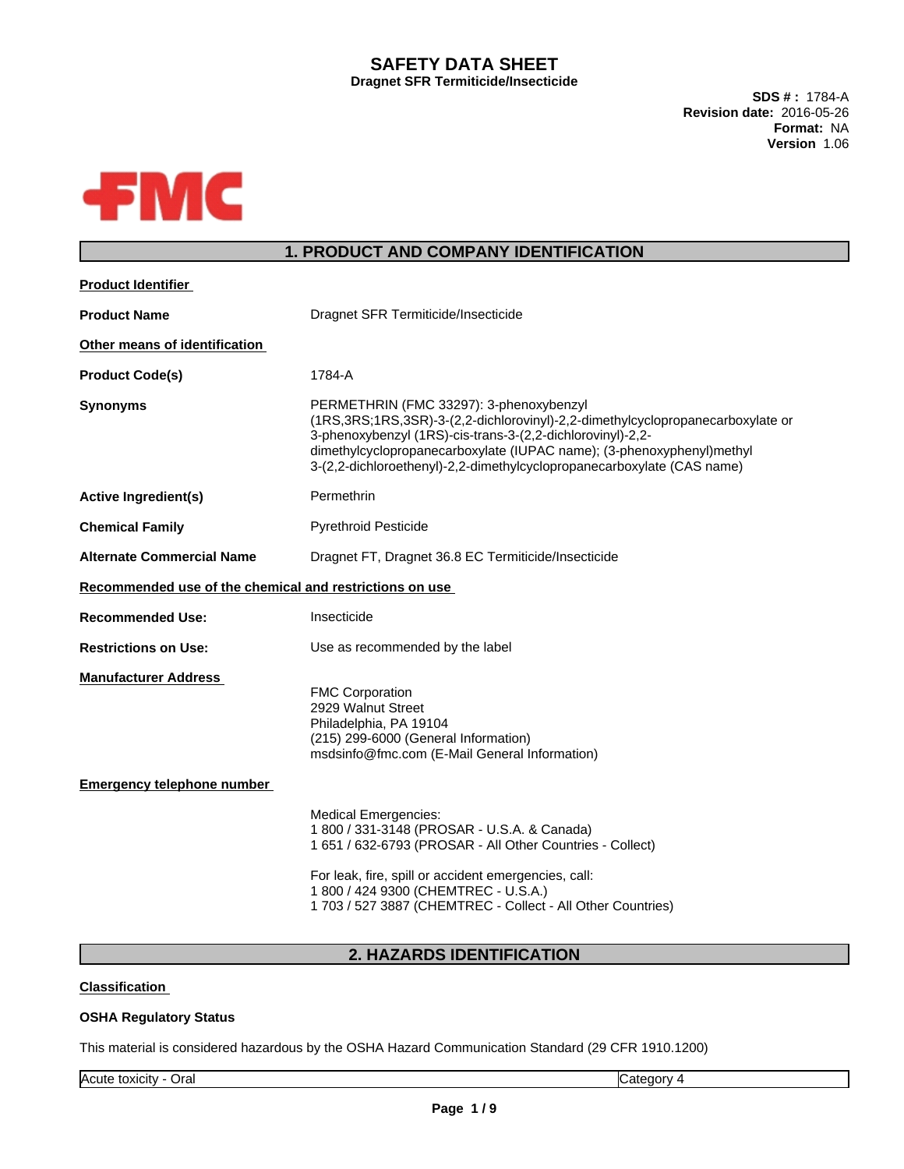### **SAFETY DATA SHEET Dragnet SFR Termiticide/Insecticide**

**SDS # :** 1784-A **Revision date:** 2016-05-26 **Format:** NA **Version** 1.06



## **1. PRODUCT AND COMPANY IDENTIFICATION**

| <b>Product Identifier</b>                               |                                                                                                                                                                                                                                                                                                                                                 |
|---------------------------------------------------------|-------------------------------------------------------------------------------------------------------------------------------------------------------------------------------------------------------------------------------------------------------------------------------------------------------------------------------------------------|
| <b>Product Name</b>                                     | Dragnet SFR Termiticide/Insecticide                                                                                                                                                                                                                                                                                                             |
| Other means of identification                           |                                                                                                                                                                                                                                                                                                                                                 |
| <b>Product Code(s)</b>                                  | 1784-A                                                                                                                                                                                                                                                                                                                                          |
| <b>Synonyms</b>                                         | PERMETHRIN (FMC 33297): 3-phenoxybenzyl<br>(1RS, 3RS; 1RS, 3SR)-3-(2, 2-dichlorovinyl)-2, 2-dimethylcyclopropanecarboxylate or<br>3-phenoxybenzyl (1RS)-cis-trans-3-(2,2-dichlorovinyl)-2,2-<br>dimethylcyclopropanecarboxylate (IUPAC name); (3-phenoxyphenyl)methyl<br>3-(2,2-dichloroethenyl)-2,2-dimethylcyclopropanecarboxylate (CAS name) |
| <b>Active Ingredient(s)</b>                             | Permethrin                                                                                                                                                                                                                                                                                                                                      |
| <b>Chemical Family</b>                                  | <b>Pyrethroid Pesticide</b>                                                                                                                                                                                                                                                                                                                     |
| <b>Alternate Commercial Name</b>                        | Dragnet FT, Dragnet 36.8 EC Termiticide/Insecticide                                                                                                                                                                                                                                                                                             |
| Recommended use of the chemical and restrictions on use |                                                                                                                                                                                                                                                                                                                                                 |
| <b>Recommended Use:</b>                                 | Insecticide                                                                                                                                                                                                                                                                                                                                     |
| <b>Restrictions on Use:</b>                             | Use as recommended by the label                                                                                                                                                                                                                                                                                                                 |
| <b>Manufacturer Address</b>                             | <b>FMC Corporation</b><br>2929 Walnut Street<br>Philadelphia, PA 19104<br>(215) 299-6000 (General Information)<br>msdsinfo@fmc.com (E-Mail General Information)                                                                                                                                                                                 |
| <b>Emergency telephone number</b>                       |                                                                                                                                                                                                                                                                                                                                                 |
|                                                         | <b>Medical Emergencies:</b><br>1 800 / 331-3148 (PROSAR - U.S.A. & Canada)<br>1 651 / 632-6793 (PROSAR - All Other Countries - Collect)                                                                                                                                                                                                         |
|                                                         | For leak, fire, spill or accident emergencies, call:<br>1 800 / 424 9300 (CHEMTREC - U.S.A.)<br>1 703 / 527 3887 (CHEMTREC - Collect - All Other Countries)                                                                                                                                                                                     |
|                                                         |                                                                                                                                                                                                                                                                                                                                                 |

## **2. HAZARDS IDENTIFICATION**

#### **Classification**

#### **OSHA Regulatory Status**

This material is considered hazardous by the OSHA Hazard Communication Standard (29 CFR 1910.1200)

Acute toxicity - Oral Category 4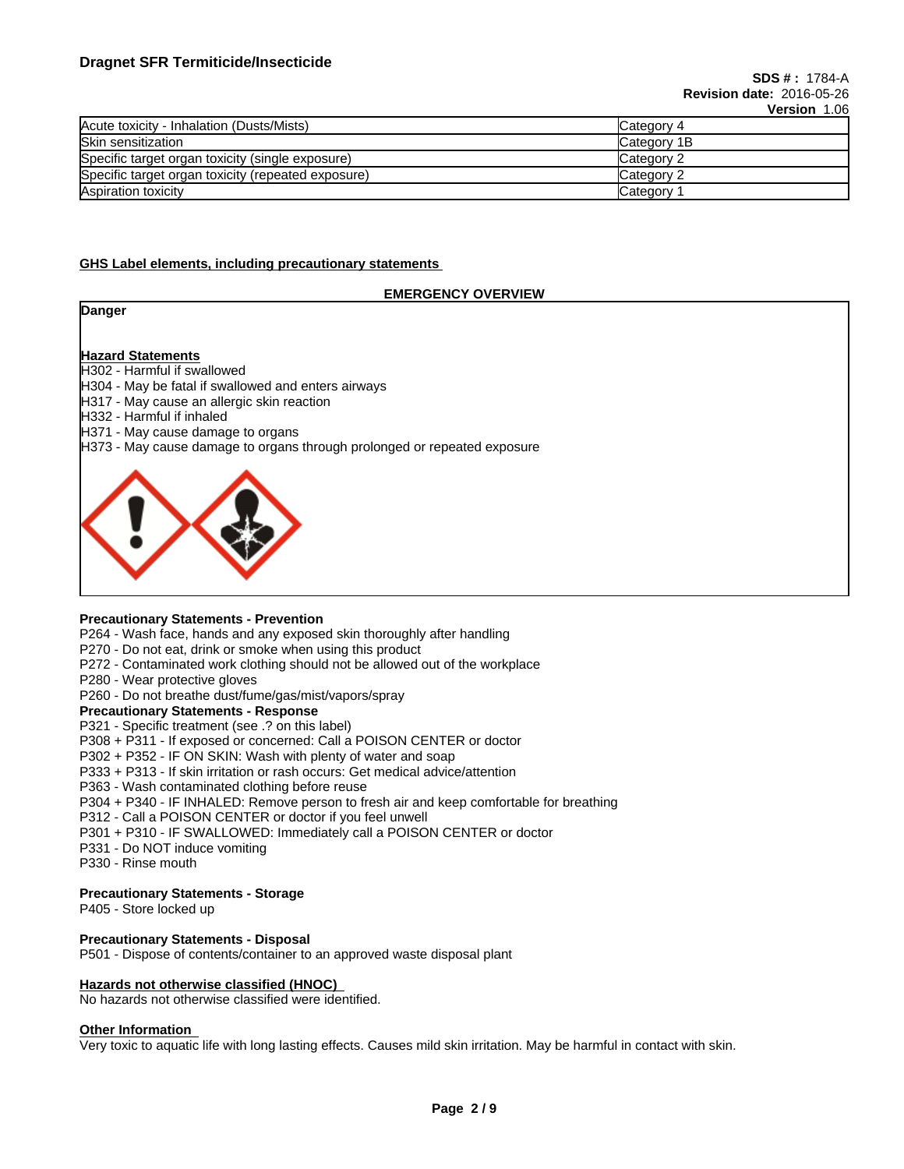|                                                    | VEISIVII LUU |
|----------------------------------------------------|--------------|
| Acute toxicity - Inhalation (Dusts/Mists)          | Category 4   |
| Skin sensitization                                 | Category 1B  |
| Specific target organ toxicity (single exposure)   | Category 2   |
| Specific target organ toxicity (repeated exposure) | Category 2   |
| Aspiration toxicity                                | Category     |

#### **GHS Label elements, including precautionary statements**

#### **EMERGENCY OVERVIEW**

| Danger |  |
|--------|--|
|--------|--|

#### **Hazard Statements**

H302 - Harmful if swallowed

- H304 May be fatal if swallowed and enters airways
- H317 May cause an allergic skin reaction
- H332 Harmful if inhaled
- H371 May cause damage to organs
- H373 May cause damage to organs through prolonged or repeated exposure



#### **Precautionary Statements - Prevention**

P264 - Wash face, hands and any exposed skin thoroughly after handling

- P270 Do not eat, drink or smoke when using this product
- P272 Contaminated work clothing should not be allowed out of the workplace
- P280 Wear protective gloves
- P260 Do not breathe dust/fume/gas/mist/vapors/spray

## **Precautionary Statements - Response**

P321 - Specific treatment (see .? on this label)

- P308 + P311 If exposed or concerned: Call a POISON CENTER or doctor
- P302 + P352 IF ON SKIN: Wash with plenty of water and soap
- P333 + P313 If skin irritation or rash occurs: Get medical advice/attention
- P363 Wash contaminated clothing before reuse
- P304 + P340 IF INHALED: Remove person to fresh air and keep comfortable for breathing
- P312 Call a POISON CENTER or doctor if you feel unwell
- P301 + P310 IF SWALLOWED: Immediately call a POISON CENTER or doctor
- P331 Do NOT induce vomiting
- P330 Rinse mouth

#### **Precautionary Statements - Storage**

P405 - Store locked up

#### **Precautionary Statements - Disposal**

P501 - Dispose of contents/container to an approved waste disposal plant

#### **Hazards not otherwise classified (HNOC)**

No hazards not otherwise classified were identified.

#### **Other Information**

Very toxic to aquatic life with long lasting effects. Causes mild skin irritation. May be harmful in contact with skin.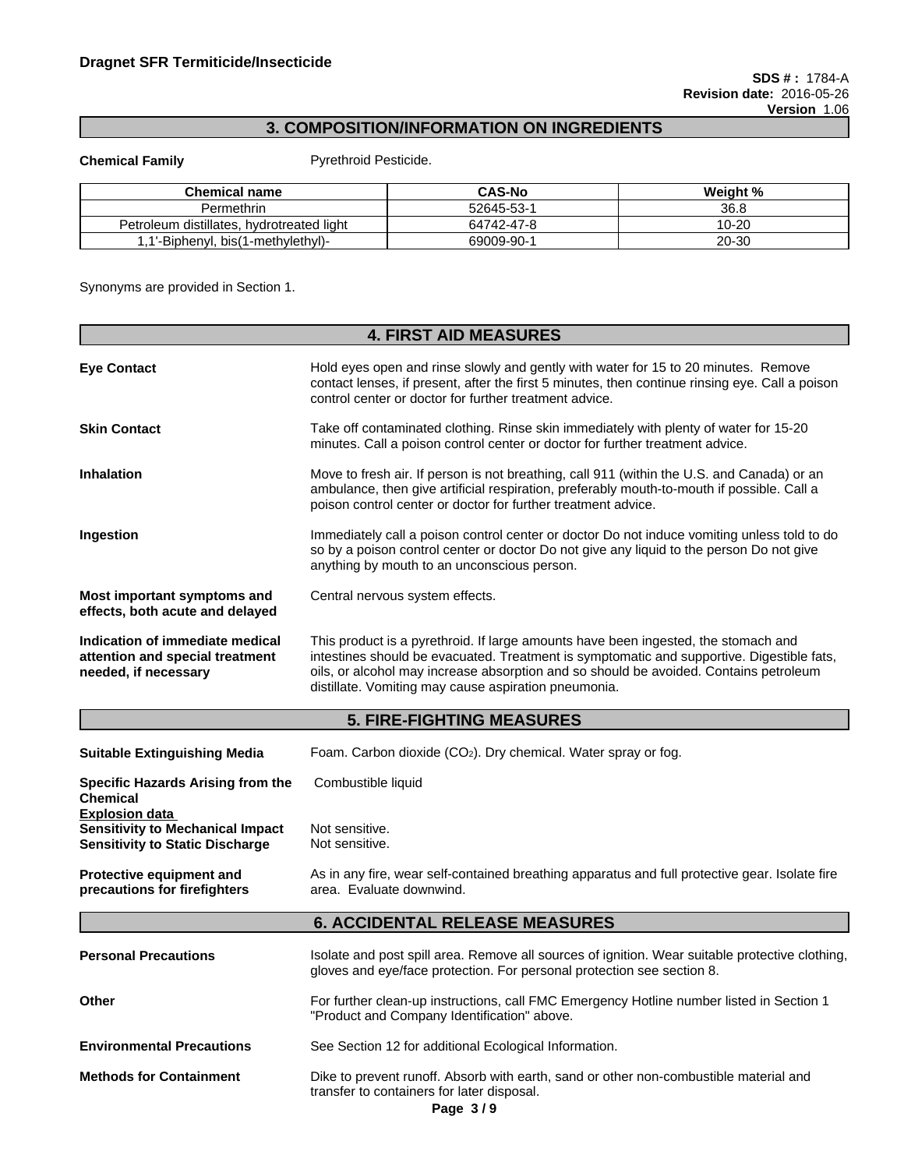## **3. COMPOSITION/INFORMATION ON INGREDIENTS**

**Chemical Family Pyrethroid Pesticide.** 

| <b>Chemical name</b>                            | <b>CAS-No</b> | Weight %  |
|-------------------------------------------------|---------------|-----------|
| Permethrin                                      | 52645-53-     | 36.8      |
| hvdrotreated light<br>distillates.<br>Petroleum | 64742-47-8    | $10 - 20$ |
| I'-Biphenyl, bis(1-methylethyl)-                | 69009-90-     | 20-30     |

Synonyms are provided in Section 1.

|                                                                                                            | <b>4. FIRST AID MEASURES</b>                                                                                                                                                                                                                                                                                                     |  |  |
|------------------------------------------------------------------------------------------------------------|----------------------------------------------------------------------------------------------------------------------------------------------------------------------------------------------------------------------------------------------------------------------------------------------------------------------------------|--|--|
| <b>Eye Contact</b>                                                                                         | Hold eyes open and rinse slowly and gently with water for 15 to 20 minutes. Remove<br>contact lenses, if present, after the first 5 minutes, then continue rinsing eye. Call a poison<br>control center or doctor for further treatment advice.                                                                                  |  |  |
| <b>Skin Contact</b>                                                                                        | Take off contaminated clothing. Rinse skin immediately with plenty of water for 15-20<br>minutes. Call a poison control center or doctor for further treatment advice.                                                                                                                                                           |  |  |
| <b>Inhalation</b>                                                                                          | Move to fresh air. If person is not breathing, call 911 (within the U.S. and Canada) or an<br>ambulance, then give artificial respiration, preferably mouth-to-mouth if possible. Call a<br>poison control center or doctor for further treatment advice.                                                                        |  |  |
| Ingestion                                                                                                  | Immediately call a poison control center or doctor Do not induce vomiting unless told to do<br>so by a poison control center or doctor Do not give any liquid to the person Do not give<br>anything by mouth to an unconscious person.                                                                                           |  |  |
| Most important symptoms and<br>effects, both acute and delayed                                             | Central nervous system effects.                                                                                                                                                                                                                                                                                                  |  |  |
| Indication of immediate medical<br>attention and special treatment<br>needed, if necessary                 | This product is a pyrethroid. If large amounts have been ingested, the stomach and<br>intestines should be evacuated. Treatment is symptomatic and supportive. Digestible fats,<br>oils, or alcohol may increase absorption and so should be avoided. Contains petroleum<br>distillate. Vomiting may cause aspiration pneumonia. |  |  |
|                                                                                                            | <b>5. FIRE-FIGHTING MEASURES</b>                                                                                                                                                                                                                                                                                                 |  |  |
| <b>Suitable Extinguishing Media</b>                                                                        | Foam. Carbon dioxide (CO <sub>2</sub> ). Dry chemical. Water spray or fog.                                                                                                                                                                                                                                                       |  |  |
| Specific Hazards Arising from the<br><b>Chemical</b>                                                       | Combustible liquid                                                                                                                                                                                                                                                                                                               |  |  |
| <b>Explosion data</b><br><b>Sensitivity to Mechanical Impact</b><br><b>Sensitivity to Static Discharge</b> | Not sensitive.<br>Not sensitive.                                                                                                                                                                                                                                                                                                 |  |  |
| Protective equipment and<br>precautions for firefighters                                                   | As in any fire, wear self-contained breathing apparatus and full protective gear. Isolate fire<br>area. Evaluate downwind.                                                                                                                                                                                                       |  |  |
|                                                                                                            | <b>6. ACCIDENTAL RELEASE MEASURES</b>                                                                                                                                                                                                                                                                                            |  |  |
| <b>Personal Precautions</b>                                                                                | Isolate and post spill area. Remove all sources of ignition. Wear suitable protective clothing,<br>gloves and eye/face protection. For personal protection see section 8.                                                                                                                                                        |  |  |
| Other                                                                                                      | For further clean-up instructions, call FMC Emergency Hotline number listed in Section 1<br>"Product and Company Identification" above.                                                                                                                                                                                          |  |  |
| <b>Environmental Precautions</b>                                                                           | See Section 12 for additional Ecological Information.                                                                                                                                                                                                                                                                            |  |  |
| <b>Methods for Containment</b>                                                                             | Dike to prevent runoff. Absorb with earth, sand or other non-combustible material and<br>transfer to containers for later disposal.                                                                                                                                                                                              |  |  |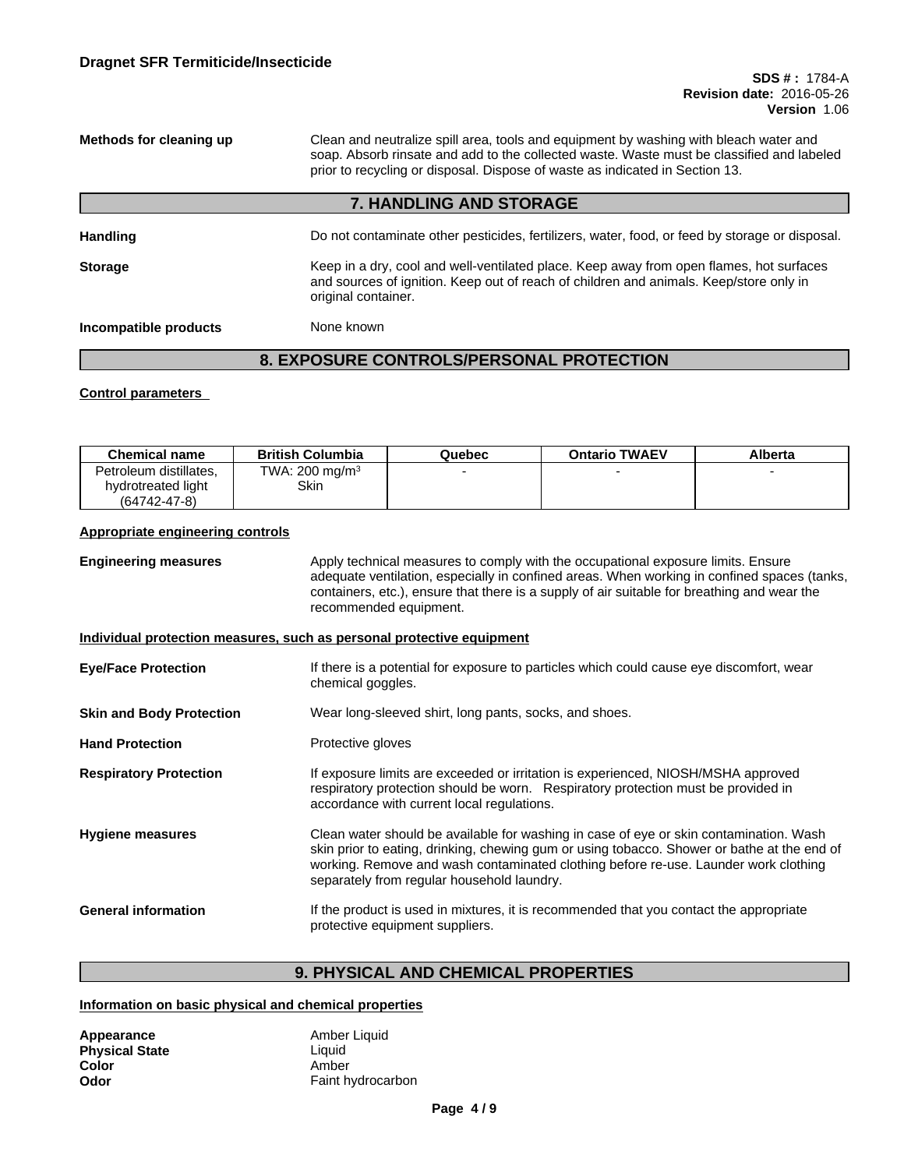**Methods for cleaning up** Clean and neutralize spill area, tools and equipment by washing with bleach water and soap. Absorb rinsate and add to the collected waste. Waste must be classified and labeled prior to recycling or disposal. Dispose of waste as indicated in Section 13.**7. HANDLING AND STORAGE** Handling **Handling** Do not contaminate other pesticides, fertilizers, water, food, or feed by storage or disposal. **Storage** Keep in a dry, cool and well-ventilated place. Keep away from open flames, hot surfaces and sources of ignition. Keep out of reach of children and animals. Keep/store only in original container. **Incompatible products** None known

## **8. EXPOSURE CONTROLS/PERSONAL PROTECTION**

#### **Control parameters**

| <b>Chemical name</b>   | <b>British Columbia</b>    | Quebec | <b>Ontario TWAEV</b> | Alberta |
|------------------------|----------------------------|--------|----------------------|---------|
| Petroleum distillates. | TWA: 200 mg/m <sup>3</sup> |        |                      |         |
| hydrotreated light     | Skin                       |        |                      |         |
| $(64742 - 47 - 8)$     |                            |        |                      |         |

#### **Appropriate engineering controls**

**Engineering measures** Apply technical measures to comply with the occupational exposure limits. Ensure adequate ventilation, especially in confined areas. When working in confined spaces (tanks, containers, etc.), ensure that there is a supply of air suitable for breathing and wear the recommended equipment.

#### **Individual protection measures, such as personal protective equipment**

| <b>Eye/Face Protection</b>      | If there is a potential for exposure to particles which could cause eye discomfort, wear<br>chemical goggles.                                                                                                                                                                                                              |
|---------------------------------|----------------------------------------------------------------------------------------------------------------------------------------------------------------------------------------------------------------------------------------------------------------------------------------------------------------------------|
| <b>Skin and Body Protection</b> | Wear long-sleeved shirt, long pants, socks, and shoes.                                                                                                                                                                                                                                                                     |
| <b>Hand Protection</b>          | Protective gloves                                                                                                                                                                                                                                                                                                          |
| <b>Respiratory Protection</b>   | If exposure limits are exceeded or irritation is experienced, NIOSH/MSHA approved<br>respiratory protection should be worn. Respiratory protection must be provided in<br>accordance with current local regulations.                                                                                                       |
| <b>Hygiene measures</b>         | Clean water should be available for washing in case of eye or skin contamination. Wash<br>skin prior to eating, drinking, chewing gum or using tobacco. Shower or bathe at the end of<br>working. Remove and wash contaminated clothing before re-use. Launder work clothing<br>separately from regular household laundry. |
| <b>General information</b>      | If the product is used in mixtures, it is recommended that you contact the appropriate<br>protective equipment suppliers.                                                                                                                                                                                                  |

## **9. PHYSICAL AND CHEMICAL PROPERTIES**

#### **Information on basic physical and chemical properties**

| Appearance            | Amber Liquid      |
|-----------------------|-------------------|
| <b>Physical State</b> | Liauid            |
| Color                 | Amber             |
| Odor                  | Faint hydrocarbon |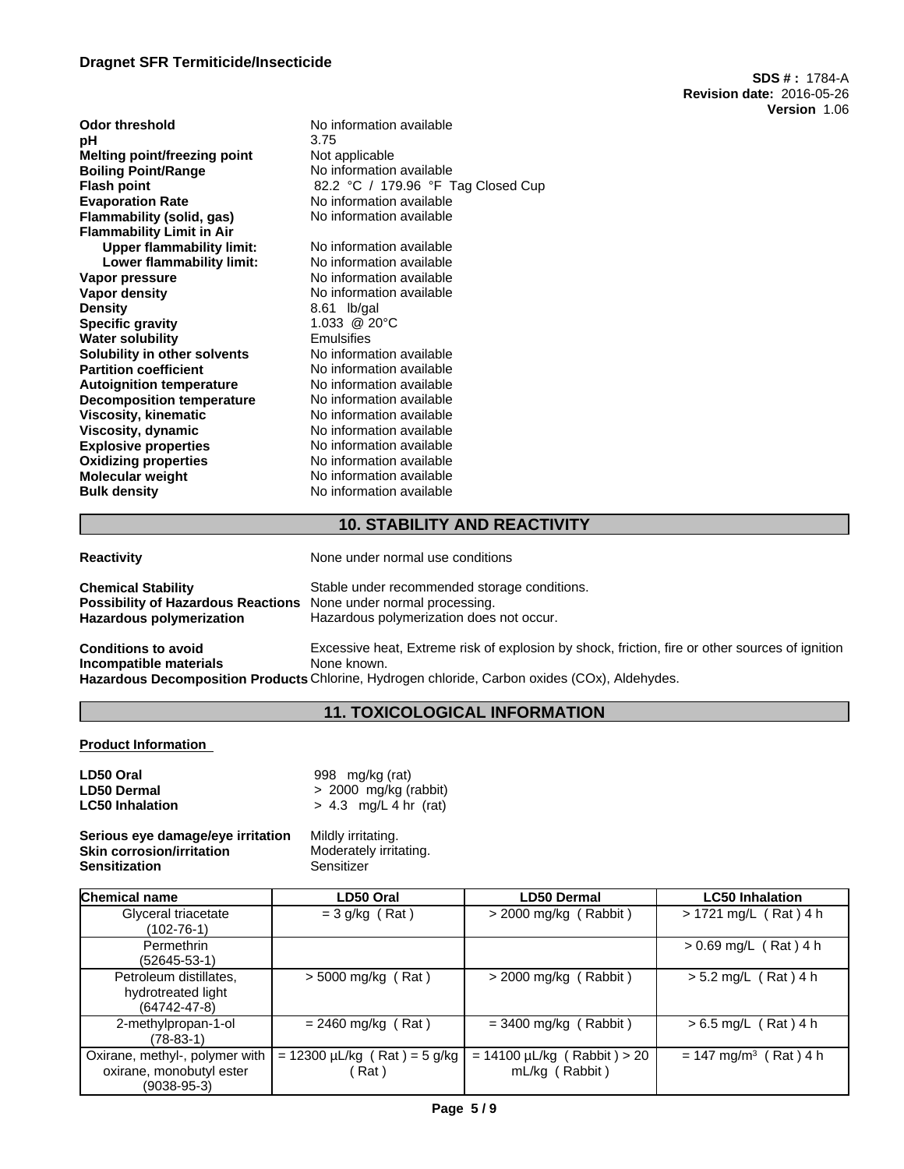### **Dragnet SFR Termiticide/Insecticide**

**SDS # :** 1784-A **Revision date:** 2016-05-26 **Version** 1.06

| Odor threshold<br>pН             | No information available<br>3.75   |
|----------------------------------|------------------------------------|
| Melting point/freezing point     | Not applicable                     |
| <b>Boiling Point/Range</b>       | No information available           |
| Flash point                      | 82.2 °C / 179.96 °F Tag Closed Cup |
| <b>Evaporation Rate</b>          | No information available           |
| Flammability (solid, gas)        | No information available           |
| Flammability Limit in Air        |                                    |
| <b>Upper flammability limit:</b> | No information available           |
| Lower flammability limit:        | No information available           |
| Vapor pressure                   | No information available           |
| Vapor density                    | No information available           |
| Density                          | $8.61$ lb/gal                      |
| Specific gravity                 | $1.033 \ @ 20^{\circ}C$            |
| Water solubility                 | Emulsifies                         |
| Solubility in other solvents     | No information available           |
| <b>Partition coefficient</b>     | No information available           |
| <b>Autoignition temperature</b>  | No information available           |
| <b>Decomposition temperature</b> | No information available           |
| Viscosity, kinematic             | No information available           |
| Viscosity, dynamic               | No information available           |
| <b>Explosive properties</b>      | No information available           |
| <b>Oxidizing properties</b>      | No information available           |
| Molecular weight                 | No information available           |
| Bulk density                     | No information available           |
|                                  |                                    |

### **10. STABILITY AND REACTIVITY**

| <b>Reactivity</b>                                                                                                                       | None under normal use conditions                                                                               |
|-----------------------------------------------------------------------------------------------------------------------------------------|----------------------------------------------------------------------------------------------------------------|
| <b>Chemical Stability</b><br><b>Possibility of Hazardous Reactions</b> None under normal processing.<br><b>Hazardous polymerization</b> | Stable under recommended storage conditions.<br>Hazardous polymerization does not occur.                       |
| <b>Conditions to avoid</b><br>Incompatible materials                                                                                    | Excessive heat, Extreme risk of explosion by shock, friction, fire or other sources of ignition<br>None known. |
|                                                                                                                                         | Hazardous Decomposition Products Chlorine, Hydrogen chloride, Carbon oxides (COx), Aldehydes.                  |

## **11. TOXICOLOGICAL INFORMATION**

#### **Product Information**

| LD50 Oral              | 998 mg/kg (rat)         |
|------------------------|-------------------------|
| <b>LD50 Dermal</b>     | $> 2000$ mg/kg (rabbit) |
| <b>LC50 Inhalation</b> | $> 4.3$ mg/L 4 hr (rat) |

#### **Serious eye damage/eye irritation** Mildly irritating. **Skin corrosion/irritation Moderately Sensitization**<br> **Sensitization** Sensitizer **Sensitization**

| <b>Chemical name</b>                                                        | LD50 Oral                                 | <b>LD50 Dermal</b>                                 | <b>LC50 Inhalation</b>              |
|-----------------------------------------------------------------------------|-------------------------------------------|----------------------------------------------------|-------------------------------------|
| Glyceral triacetate<br>(102-76-1)                                           | $=$ 3 g/kg (Rat)                          | $>$ 2000 mg/kg (Rabbit)                            | $> 1721$ mg/L (Rat) 4 h             |
| Permethrin<br>(52645-53-1)                                                  |                                           |                                                    | $> 0.69$ mg/L (Rat) 4 h             |
| Petroleum distillates,<br>hydrotreated light<br>$(64742 - 47 - 8)$          | $>$ 5000 mg/kg (Rat)                      | $>$ 2000 mg/kg (Rabbit)                            | $> 5.2$ mg/L (Rat) 4 h              |
| 2-methylpropan-1-ol<br>(78-83-1)                                            | $= 2460$ mg/kg (Rat)                      | $=$ 3400 mg/kg (Rabbit)                            | $> 6.5$ mg/L (Rat) 4 h              |
| Oxirane, methyl-, polymer with<br>oxirane, monobutyl ester<br>$(9038-95-3)$ | $= 12300 \mu L/kg$ (Rat) = 5 g/kg<br>Rat) | $= 14100 \mu L/kg$ (Rabbit) > 20<br>mL/kg (Rabbit) | $= 147$ mg/m <sup>3</sup> (Rat) 4 h |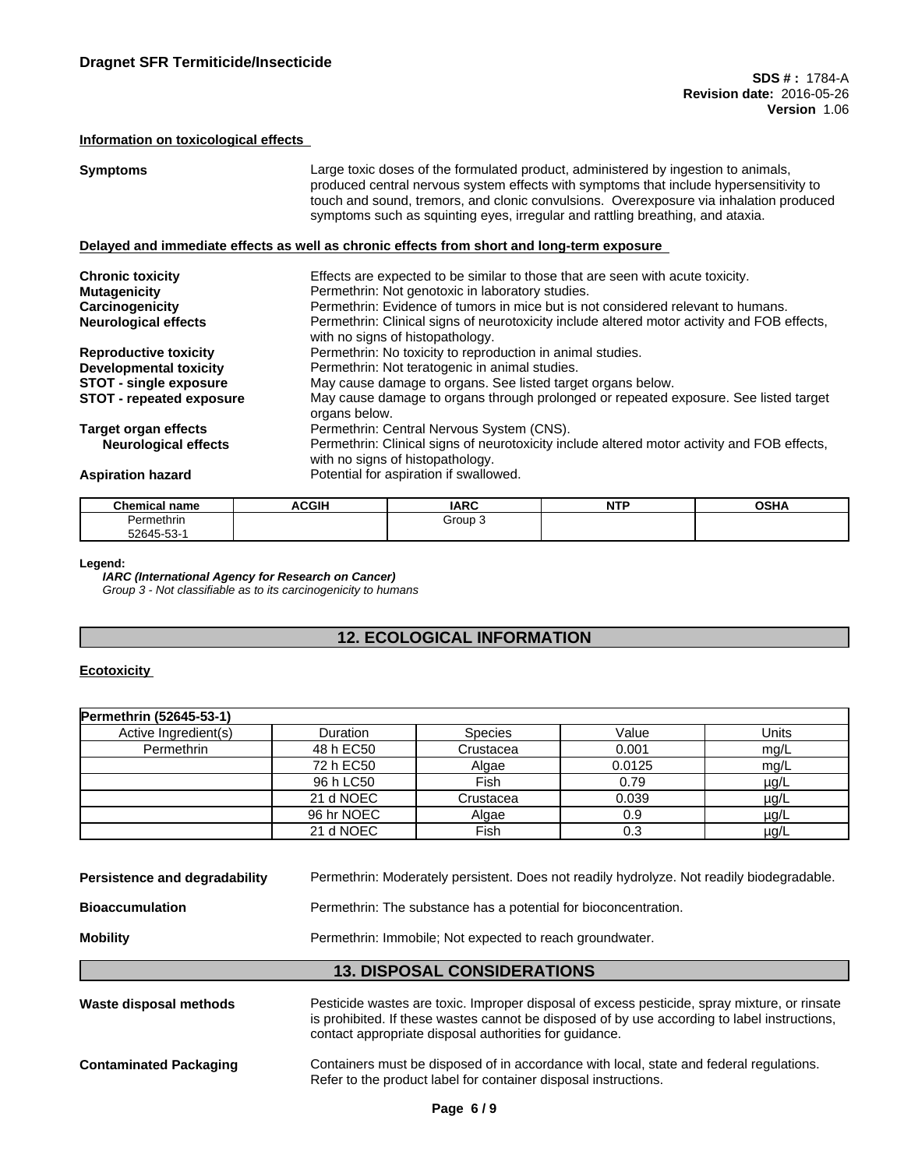### **Information on toxicological effects**

| <b>Symptoms</b>                 | Large toxic doses of the formulated product, administered by ingestion to animals,<br>produced central nervous system effects with symptoms that include hypersensitivity to<br>touch and sound, tremors, and clonic convulsions. Overexposure via inhalation produced<br>symptoms such as squinting eyes, irregular and rattling breathing, and ataxia. |
|---------------------------------|----------------------------------------------------------------------------------------------------------------------------------------------------------------------------------------------------------------------------------------------------------------------------------------------------------------------------------------------------------|
|                                 | Delayed and immediate effects as well as chronic effects from short and long-term exposure                                                                                                                                                                                                                                                               |
| <b>Chronic toxicity</b>         | Effects are expected to be similar to those that are seen with acute toxicity.                                                                                                                                                                                                                                                                           |
| <b>Mutagenicity</b>             | Permethrin: Not genotoxic in laboratory studies.                                                                                                                                                                                                                                                                                                         |
| Carcinogenicity                 | Permethrin: Evidence of tumors in mice but is not considered relevant to humans.                                                                                                                                                                                                                                                                         |
| <b>Neurological effects</b>     | Permethrin: Clinical signs of neurotoxicity include altered motor activity and FOB effects,<br>with no signs of histopathology.                                                                                                                                                                                                                          |
| <b>Reproductive toxicity</b>    | Permethrin: No toxicity to reproduction in animal studies.                                                                                                                                                                                                                                                                                               |
| <b>Developmental toxicity</b>   | Permethrin: Not teratogenic in animal studies.                                                                                                                                                                                                                                                                                                           |
| <b>STOT - single exposure</b>   | May cause damage to organs. See listed target organs below.                                                                                                                                                                                                                                                                                              |
| <b>STOT</b> - repeated exposure | May cause damage to organs through prolonged or repeated exposure. See listed target<br>organs below.                                                                                                                                                                                                                                                    |
| Target organ effects            | Permethrin: Central Nervous System (CNS).                                                                                                                                                                                                                                                                                                                |
| <b>Neurological effects</b>     | Permethrin: Clinical signs of neurotoxicity include altered motor activity and FOB effects,<br>with no signs of histopathology.                                                                                                                                                                                                                          |
| <b>Aspiration hazard</b>        | Potential for aspiration if swallowed.                                                                                                                                                                                                                                                                                                                   |

| <b>Chemical name</b> | <b>ACGIH</b> | <b>IARC</b> | NITO<br>. | OCD<br>שסט |
|----------------------|--------------|-------------|-----------|------------|
| Permethrin           |              | Group∶      |           |            |
| 52645-53-            |              |             |           |            |

#### **Legend:**

*IARC (International Agency for Research on Cancer) Group 3 - Not classifiable as to its carcinogenicity to humans*

## **12. ECOLOGICAL INFORMATION**

#### **Ecotoxicity**

| Permethrin (52645-53-1) |            |                |        |           |
|-------------------------|------------|----------------|--------|-----------|
| Active Ingredient(s)    | Duration   | <b>Species</b> | Value  | Units     |
| Permethrin              | 48 h EC50  | Crustacea      | 0.001  | mg/L      |
|                         | 72 h EC50  | Algae          | 0.0125 | mg/L      |
|                         | 96 h LC50  | Fish           | 0.79   | $\mu$ g/L |
|                         | 21 d NOEC  | Crustacea      | 0.039  | $\mu$ g/L |
|                         | 96 hr NOEC | Algae          | 0.9    | µg/L      |
|                         | 21 d NOEC  | Fish           | 0.3    | $\mu$ g/L |

| Persistence and degradability | Permethrin: Moderately persistent. Does not readily hydrolyze. Not readily biodegradable. |
|-------------------------------|-------------------------------------------------------------------------------------------|
| <b>Bioaccumulation</b>        | Permethrin: The substance has a potential for bioconcentration.                           |
| <b>Mobility</b>               | Permethrin: Immobile: Not expected to reach groundwater.                                  |
|                               | <b>13. DISPOSAL CONSIDERATIONS</b>                                                        |

| Waste disposal methods        | Pesticide wastes are toxic. Improper disposal of excess pesticide, spray mixture, or rinsate<br>is prohibited. If these wastes cannot be disposed of by use according to label instructions,<br>contact appropriate disposal authorities for quidance. |
|-------------------------------|--------------------------------------------------------------------------------------------------------------------------------------------------------------------------------------------------------------------------------------------------------|
| <b>Contaminated Packaging</b> | Containers must be disposed of in accordance with local, state and federal regulations.<br>Refer to the product label for container disposal instructions.                                                                                             |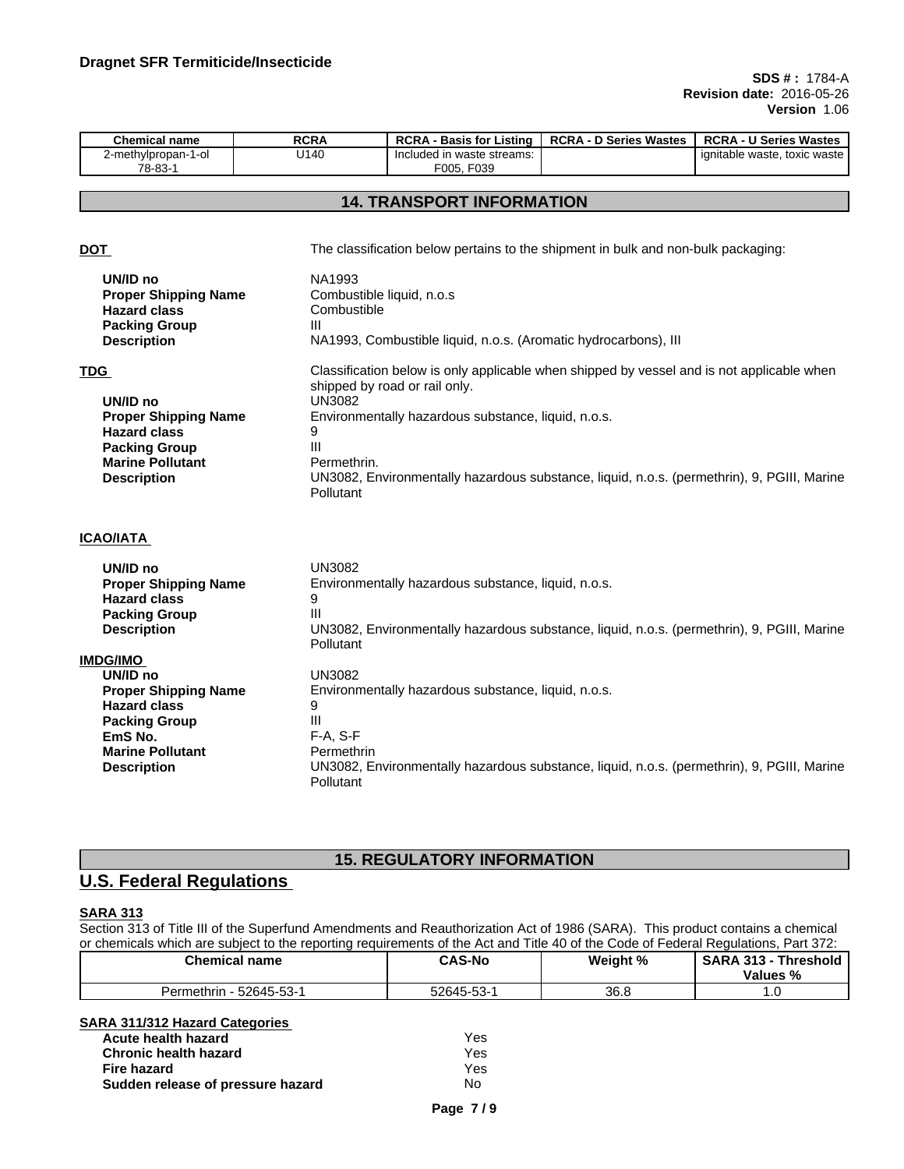| <b>Chemical name</b>          | <b>RCRA</b> | <b>RCRA</b><br>∶Listina<br>. Basis for '    | <b>\ - D Series Wastes</b><br>RCRA | <b>RCRA - U Series Wastes</b>     |
|-------------------------------|-------------|---------------------------------------------|------------------------------------|-----------------------------------|
| 2-methylpropan-1-ol<br>78-83- | U140        | Included in waste streams:<br>F039<br>F005. |                                    | . toxic waste<br>ignitable waste. |

### **14. TRANSPORT INFORMATION**

**DOT The classification below pertains to the shipment in bulk and non-bulk packaging: UN/ID no** NA1993 **Proper Shipping Name** Combustible liquid, n.o.s<br> **Hazard class** Combustible **Hazard class Packing Group Facking Group** III<br>Description **N Description** NA1993, Combustible liquid, n.o.s. (Aromatic hydrocarbons), III **TDG Classification below is only applicable when shipped by vessel and is not applicable when** shipped by road or rail only. **UN/ID no** UN3082 **Proper Shipping Name** Environmentally hazardous substance, liquid, n.o.s. **Hazard class** 9 **Packing Group III Marine Pollutant** Permethrin. **Description** UN3082, Environmentally hazardous substance, liquid, n.o.s. (permethrin), 9, PGIII, Marine Pollutant **ICAO/IATA UN/ID no** UN3082 **Proper Shipping Name** Environmentally hazardous substance, liquid, n.o.s. **Hazard class** 9 **Packing Group Facking Group** III<br>**Description** UI **Description** UN3082, Environmentally hazardous substance, liquid, n.o.s. (permethrin), 9, PGIII, Marine Pollutant **IMDG/IMO UN/ID no** UN3082 **Proper Shipping Name** Environmentally hazardous substance, liquid, n.o.s. **Hazard class** 9<br>**Packing Group** 111 **Packing Group F-A, S-F**<br>**EmS No.** F-A, S-F **EmS No. Marine Pollutant** Permethrin **Description** UN3082, Environmentally hazardous substance, liquid, n.o.s. (permethrin), 9, PGIII, Marine **Pollutant** 

## **15. REGULATORY INFORMATION**

## **U.S. Federal Regulations**

### **SARA 313**

Section 313 of Title III of the Superfund Amendments and Reauthorization Act of 1986 (SARA). This product contains a chemical or chemicals which are subject to the reporting requirements of the Act and Title 40 of the Code of Federal Regulations, Part 372:

| <b>Chemical name</b>     | <b>CAS-No</b>             | Weight % | <b>SARA</b><br>- 242<br><b>Threshold</b><br>Values % |
|--------------------------|---------------------------|----------|------------------------------------------------------|
| 52645-53-1<br>Permethrin | 52645-<br>$-53.4$<br>- JJ | 36.8     | .                                                    |

# **SARA 311/312 Hazard Categories**

| Acute health hazard               | Yes |
|-----------------------------------|-----|
| <b>Chronic health hazard</b>      | Yes |
| Fire hazard                       | Yes |
| Sudden release of pressure hazard | No  |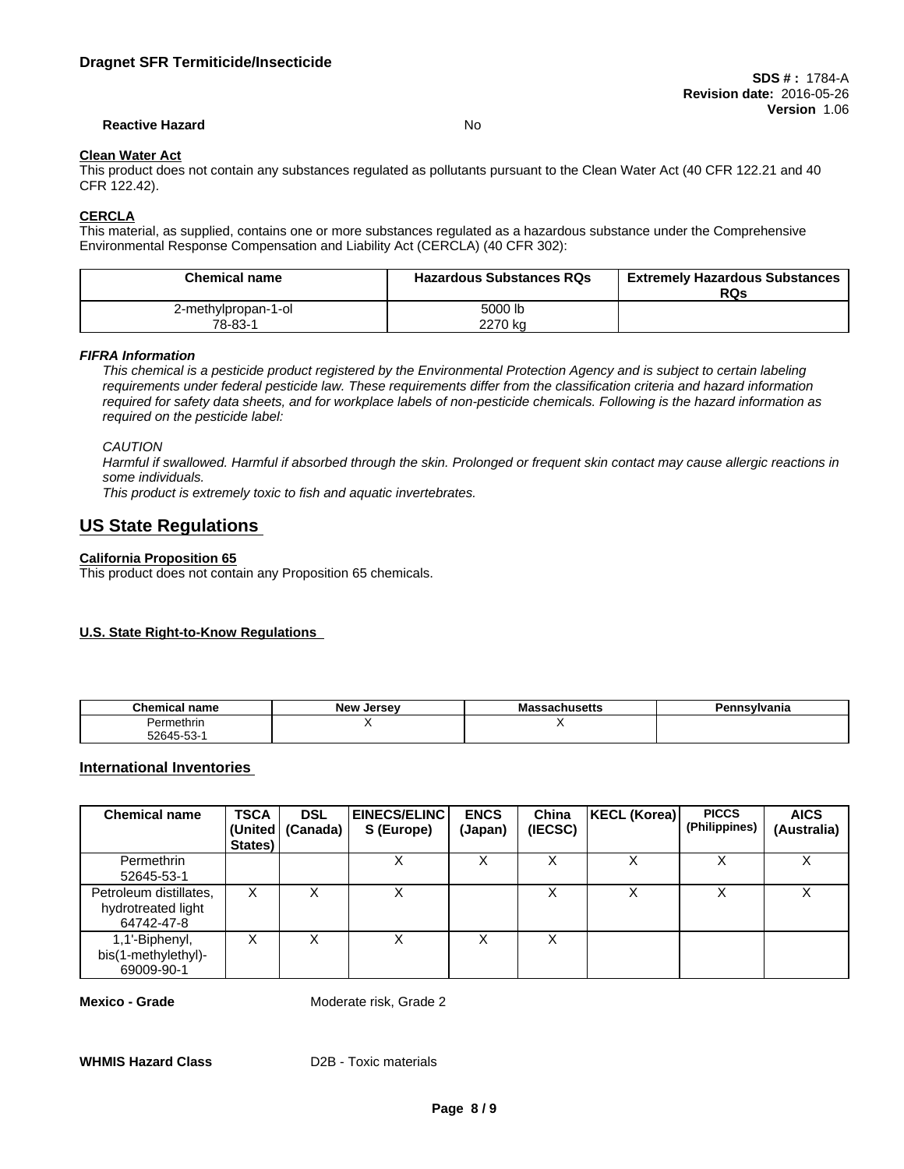#### **Reactive Hazard** No

## **Clean Water Act**

This product does not contain any substances regulated as pollutants pursuant to the Clean Water Act (40 CFR 122.21 and 40 CFR 122.42).

#### **CERCLA**

This material, as supplied, contains one or more substances regulated as a hazardous substance under the Comprehensive Environmental Response Compensation and Liability Act (CERCLA) (40 CFR 302):

| <b>Chemical name</b> | <b>Hazardous Substances RQs</b> | <b>Extremely Hazardous Substances</b><br>RQs |
|----------------------|---------------------------------|----------------------------------------------|
| 2-methylpropan-1-ol  | 5000 lb                         |                                              |
| 78-83-1              | 2270 kg                         |                                              |

*FIFRA Information*

This chemical is a pesticide product registered by the Environmental Protection Agency and is subject to certain labeling requirements under federal pesticide law. These requirements differ from the classification criteria and hazard information required for safety data sheets, and for workplace labels of non-pesticide chemicals. Following is the hazard information as *required on the pesticide label:*

*CAUTION*

Harmful if swallowed. Harmful if absorbed through the skin. Prolonged or frequent skin contact may cause allergic reactions in *some individuals.*

*This product is extremely toxic to fish and aquatic invertebrates.*

## **US State Regulations**

#### **California Proposition 65**

This product does not contain any Proposition 65 chemicals.

#### **U.S. State Right-to-Know Regulations**

| <b>Chemical name</b> | <b>New</b><br>Jersev | `nsvlvania<br>ыш |
|----------------------|----------------------|------------------|
| Permethrin           |                      |                  |
| $52645 - 53 - 1$     |                      |                  |

#### **International Inventories**

| <b>Chemical name</b>                                       | <b>TSCA</b><br>States) | <b>DSL</b><br>(United   (Canada) | <b>EINECS/ELINC</b><br>S (Europe) | <b>ENCS</b><br>(Japan) | China<br>(IECSC) | KECL (Korea) | <b>PICCS</b><br>(Philippines) | <b>AICS</b><br>(Australia) |
|------------------------------------------------------------|------------------------|----------------------------------|-----------------------------------|------------------------|------------------|--------------|-------------------------------|----------------------------|
| Permethrin<br>52645-53-1                                   |                        |                                  | X                                 | ∧                      |                  | x            |                               | $\checkmark$<br>⋏          |
| Petroleum distillates,<br>hydrotreated light<br>64742-47-8 | х                      |                                  | $\sim$                            |                        |                  |              |                               |                            |
| 1,1'-Biphenyl,<br>bis(1-methylethyl)-<br>69009-90-1        | х                      |                                  | х                                 |                        |                  |              |                               |                            |

**Mexico - Grade** Moderate risk, Grade 2

**WHMIS Hazard Class** D2B - Toxic materials